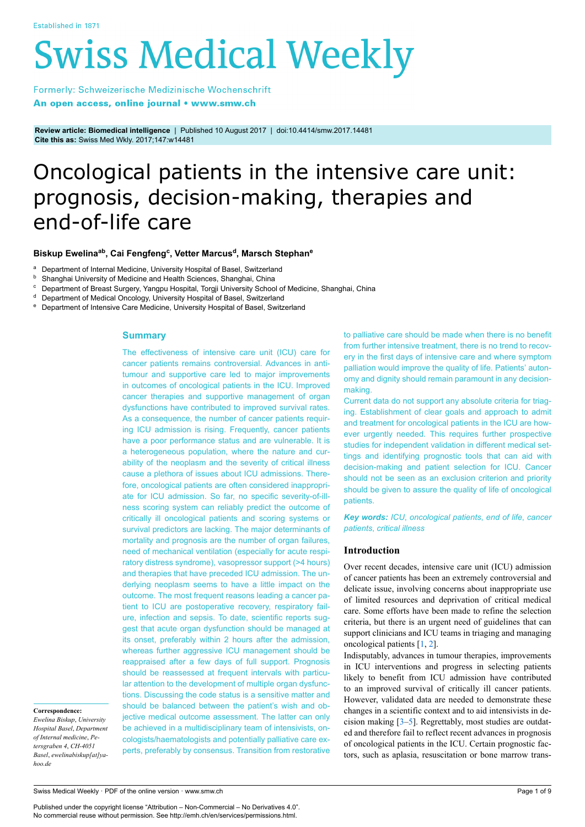# **Swiss Medical Weekly**

Formerly: Schweizerische Medizinische Wochenschrift An open access, online journal • www.smw.ch

**Review article: Biomedical intelligence** | Published 10 August 2017 | doi:10.4414/smw.2017.14481 **Cite this as:** Swiss Med Wkly. 2017;147:w14481

# Oncological patients in the intensive care unit: prognosis, decision-making, therapies and end-of-life care

# **Biskup Ewelinaab , Cai Fengfeng<sup>c</sup> , Vetter Marcus<sup>d</sup> , Marsch Stephan<sup>e</sup>**

<sup>a</sup> Department of Internal Medicine, University Hospital of Basel, Switzerland<br><sup>b</sup> Shanghei University of Medicine and Hoslth Sciences, Shanghei, China

Shanghai University of Medicine and Health Sciences, Shanghai, China

- Department of Breast Surgery, Yangpu Hospital, Torgji University School of Medicine, Shanghai, China
- Department of Medical Oncology, University Hospital of Basel, Switzerland
- <sup>e</sup> Department of Intensive Care Medicine, University Hospital of Basel, Switzerland

# **Summary**

The effectiveness of intensive care unit (ICU) care for cancer patients remains controversial. Advances in antitumour and supportive care led to major improvements in outcomes of oncological patients in the ICU. Improved cancer therapies and supportive management of organ dysfunctions have contributed to improved survival rates. As a consequence, the number of cancer patients requiring ICU admission is rising. Frequently, cancer patients have a poor performance status and are vulnerable. It is a heterogeneous population, where the nature and curability of the neoplasm and the severity of critical illness cause a plethora of issues about ICU admissions. Therefore, oncological patients are often considered inappropriate for ICU admission. So far, no specific severity-of-illness scoring system can reliably predict the outcome of critically ill oncological patients and scoring systems or survival predictors are lacking. The major determinants of mortality and prognosis are the number of organ failures, need of mechanical ventilation (especially for acute respiratory distress syndrome), vasopressor support (>4 hours) and therapies that have preceded ICU admission. The underlying neoplasm seems to have a little impact on the outcome. The most frequent reasons leading a cancer patient to ICU are postoperative recovery, respiratory failure, infection and sepsis. To date, scientific reports suggest that acute organ dysfunction should be managed at its onset, preferably within 2 hours after the admission, whereas further aggressive ICU management should be reappraised after a few days of full support. Prognosis should be reassessed at frequent intervals with particular attention to the development of multiple organ dysfunctions. Discussing the code status is a sensitive matter and should be balanced between the patient's wish and objective medical outcome assessment. The latter can only be achieved in a multidisciplinary team of intensivists, oncologists/haematologists and potentially palliative care experts, preferably by consensus. Transition from restorative

**Correspondence:**

*Ewelina Biskup*, *University Hospital Basel*, *Department of Internal medicine*, *Petersgraben 4*, *CH-4051 Basel*, *ewelinabiskup[at]yahoo.de*

Swiss Medical Weekly · PDF of the online version · www.smw.ch

Published under the copyright license "Attribution – Non-Commercial – No Derivatives 4.0". No commercial reuse without permission. See http://emh.ch/en/services/permissions.html.

to palliative care should be made when there is no benefit from further intensive treatment, there is no trend to recovery in the first days of intensive care and where symptom palliation would improve the quality of life. Patients' autonomy and dignity should remain paramount in any decisionmaking.

Current data do not support any absolute criteria for triaging. Establishment of clear goals and approach to admit and treatment for oncological patients in the ICU are however urgently needed. This requires further prospective studies for independent validation in different medical settings and identifying prognostic tools that can aid with decision-making and patient selection for ICU. Cancer should not be seen as an exclusion criterion and priority should be given to assure the quality of life of oncological patients.

*Key words: ICU*, *oncological patients*, *end of life*, *cancer patients*, *critical illness*

#### **Introduction**

Over recent decades, intensive care unit (ICU) admission of cancer patients has been an extremely controversial and delicate issue, involving concerns about inappropriate use of limited resources and deprivation of critical medical care. Some efforts have been made to refine the selection criteria, but there is an urgent need of guidelines that can support clinicians and ICU teams in triaging and managing oncological patients [[1](#page-5-0), [2](#page-6-0)].

Indisputably, advances in tumour therapies, improvements in ICU interventions and progress in selecting patients likely to benefit from ICU admission have contributed to an improved survival of critically ill cancer patients. However, validated data are needed to demonstrate these changes in a scientific context and to aid intensivists in decision making  $[3-5]$  $[3-5]$  $[3-5]$  $[3-5]$  $[3-5]$ . Regrettably, most studies are outdated and therefore fail to reflect recent advances in prognosis of oncological patients in the ICU. Certain prognostic factors, such as aplasia, resuscitation or bone marrow trans-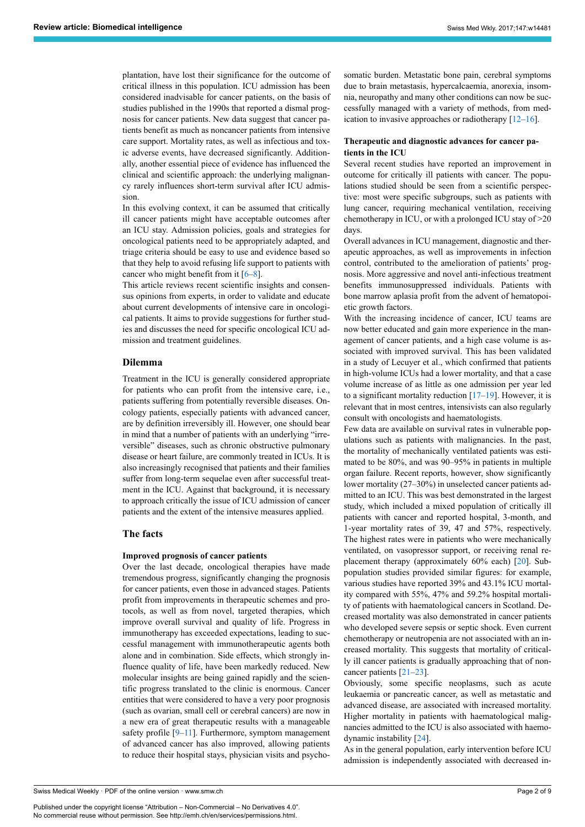plantation, have lost their significance for the outcome of critical illness in this population. ICU admission has been considered inadvisable for cancer patients, on the basis of studies published in the 1990s that reported a dismal prognosis for cancer patients. New data suggest that cancer patients benefit as much as noncancer patients from intensive care support. Mortality rates, as well as infectious and toxic adverse events, have decreased significantly. Additionally, another essential piece of evidence has influenced the clinical and scientific approach: the underlying malignancy rarely influences short-term survival after ICU admission.

In this evolving context, it can be assumed that critically ill cancer patients might have acceptable outcomes after an ICU stay. Admission policies, goals and strategies for oncological patients need to be appropriately adapted, and triage criteria should be easy to use and evidence based so that they help to avoid refusing life support to patients with cancer who might benefit from it  $[6-8]$  $[6-8]$  $[6-8]$  $[6-8]$  $[6-8]$ .

This article reviews recent scientific insights and consensus opinions from experts, in order to validate and educate about current developments of intensive care in oncological patients. It aims to provide suggestions for further studies and discusses the need for specific oncological ICU admission and treatment guidelines.

# **Dilemma**

Treatment in the ICU is generally considered appropriate for patients who can profit from the intensive care, i.e., patients suffering from potentially reversible diseases. Oncology patients, especially patients with advanced cancer, are by definition irreversibly ill. However, one should bear in mind that a number of patients with an underlying "irreversible" diseases, such as chronic obstructive pulmonary disease or heart failure, are commonly treated in ICUs. It is also increasingly recognised that patients and their families suffer from long-term sequelae even after successful treatment in the ICU. Against that background, it is necessary to approach critically the issue of ICU admission of cancer patients and the extent of the intensive measures applied.

# **The facts**

#### **Improved prognosis of cancer patients**

Over the last decade, oncological therapies have made tremendous progress, significantly changing the prognosis for cancer patients, even those in advanced stages. Patients profit from improvements in therapeutic schemes and protocols, as well as from novel, targeted therapies, which improve overall survival and quality of life. Progress in immunotherapy has exceeded expectations, leading to successful management with immunotherapeutic agents both alone and in combination. Side effects, which strongly influence quality of life, have been markedly reduced. New molecular insights are being gained rapidly and the scientific progress translated to the clinic is enormous. Cancer entities that were considered to have a very poor prognosis (such as ovarian, small cell or cerebral cancers) are now in a new era of great therapeutic results with a manageable safety profile  $[9-11]$  $[9-11]$ . Furthermore, symptom management of advanced cancer has also improved, allowing patients to reduce their hospital stays, physician visits and psycho-

Swiss Medical Weekly · PDF of the online version · www.smw.ch

Published under the copyright license "Attribution – Non-Commercial – No Derivatives 4.0". No commercial reuse without permission. See http://emh.ch/en/services/permissions.html.

somatic burden. Metastatic bone pain, cerebral symptoms due to brain metastasis, hypercalcaemia, anorexia, insomnia, neuropathy and many other conditions can now be successfully managed with a variety of methods, from medication to invasive approaches or radiotherapy [[12–](#page-6-7)[16](#page-6-8)].

# **Therapeutic and diagnostic advances for cancer patients in the ICU**

Several recent studies have reported an improvement in outcome for critically ill patients with cancer. The populations studied should be seen from a scientific perspective: most were specific subgroups, such as patients with lung cancer, requiring mechanical ventilation, receiving chemotherapy in ICU, or with a prolonged ICU stay of >20 days.

Overall advances in ICU management, diagnostic and therapeutic approaches, as well as improvements in infection control, contributed to the amelioration of patients' prognosis. More aggressive and novel anti-infectious treatment benefits immunosuppressed individuals. Patients with bone marrow aplasia profit from the advent of hematopoietic growth factors.

With the increasing incidence of cancer, ICU teams are now better educated and gain more experience in the management of cancer patients, and a high case volume is associated with improved survival. This has been validated in a study of Lecuyer et al., which confirmed that patients in high-volume ICUs had a lower mortality, and that a case volume increase of as little as one admission per year led to a significant mortality reduction  $[17–19]$  $[17–19]$  $[17–19]$  $[17–19]$ . However, it is relevant that in most centres, intensivists can also regularly consult with oncologists and haematologists.

Few data are available on survival rates in vulnerable populations such as patients with malignancies. In the past, the mortality of mechanically ventilated patients was estimated to be 80%, and was 90–95% in patients in multiple organ failure. Recent reports, however, show significantly lower mortality (27–30%) in unselected cancer patients admitted to an ICU. This was best demonstrated in the largest study, which included a mixed population of critically ill patients with cancer and reported hospital, 3-month, and 1-year mortality rates of 39, 47 and 57%, respectively. The highest rates were in patients who were mechanically ventilated, on vasopressor support, or receiving renal replacement therapy (approximately 60% each) [\[20](#page-6-11)]. Subpopulation studies provided similar figures: for example, various studies have reported 39% and 43.1% ICU mortality compared with 55%, 47% and 59.2% hospital mortality of patients with haematological cancers in Scotland. Decreased mortality was also demonstrated in cancer patients who developed severe sepsis or septic shock. Even current chemotherapy or neutropenia are not associated with an increased mortality. This suggests that mortality of critically ill cancer patients is gradually approaching that of noncancer patients [[21](#page-6-12)–[23\]](#page-6-13).

Obviously, some specific neoplasms, such as acute leukaemia or pancreatic cancer, as well as metastatic and advanced disease, are associated with increased mortality. Higher mortality in patients with haematological malignancies admitted to the ICU is also associated with haemodynamic instability [[24\]](#page-6-14).

As in the general population, early intervention before ICU admission is independently associated with decreased in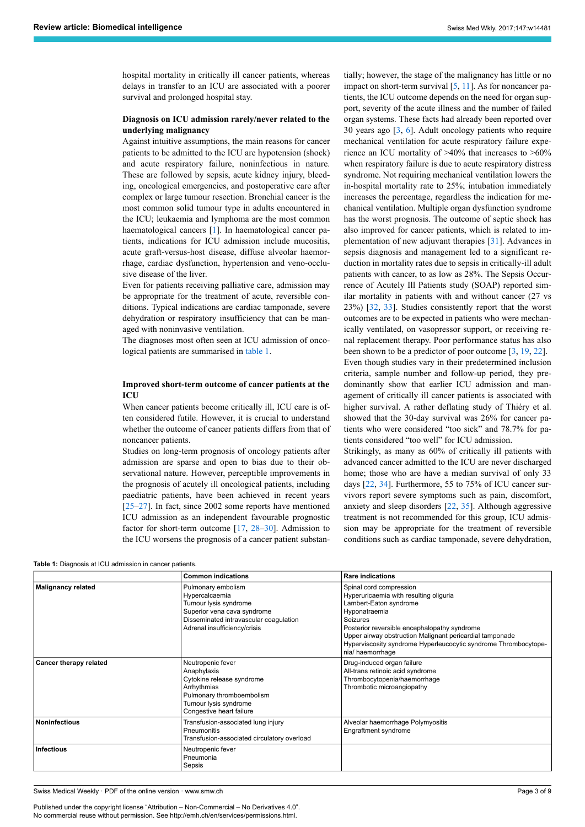hospital mortality in critically ill cancer patients, whereas delays in transfer to an ICU are associated with a poorer survival and prolonged hospital stay.

# **Diagnosis on ICU admission rarely/never related to the underlying malignancy**

Against intuitive assumptions, the main reasons for cancer patients to be admitted to the ICU are hypotension (shock) and acute respiratory failure, noninfectious in nature. These are followed by sepsis, acute kidney injury, bleeding, oncological emergencies, and postoperative care after complex or large tumour resection. Bronchial cancer is the most common solid tumour type in adults encountered in the ICU; leukaemia and lymphoma are the most common haematological cancers [\[1\]](#page-5-0). In haematological cancer patients, indications for ICU admission include mucositis, acute graft-versus-host disease, diffuse alveolar haemorrhage, cardiac dysfunction, hypertension and veno-occlusive disease of the liver.

Even for patients receiving palliative care, admission may be appropriate for the treatment of acute, reversible conditions. Typical indications are cardiac tamponade, severe dehydration or respiratory insufficiency that can be managed with noninvasive ventilation.

The diagnoses most often seen at ICU admission of oncological patients are summarised in [table 1](#page-2-0).

# **Improved short-term outcome of cancer patients at the ICU**

When cancer patients become critically ill, ICU care is often considered futile. However, it is crucial to understand whether the outcome of cancer patients differs from that of noncancer patients.

Studies on long-term prognosis of oncology patients after admission are sparse and open to bias due to their observational nature. However, perceptible improvements in the prognosis of acutely ill oncological patients, including paediatric patients, have been achieved in recent years [[25–](#page-6-15)[27](#page-6-16)]. In fact, since 2002 some reports have mentioned ICU admission as an independent favourable prognostic factor for short-term outcome [[17,](#page-6-9) [28–](#page-6-17)[30](#page-6-18)]. Admission to the ICU worsens the prognosis of a cancer patient substan-

<span id="page-2-0"></span>**Table 1:** Diagnosis at ICU admission in cancer patients.

tially; however, the stage of the malignancy has little or no impact on short-term survival  $[5, 11]$  $[5, 11]$  $[5, 11]$ . As for noncancer patients, the ICU outcome depends on the need for organ support, severity of the acute illness and the number of failed organ systems. These facts had already been reported over 30 years ago [\[3,](#page-6-1) [6\]](#page-6-3). Adult oncology patients who require mechanical ventilation for acute respiratory failure experience an ICU mortality of >40% that increases to >60% when respiratory failure is due to acute respiratory distress syndrome. Not requiring mechanical ventilation lowers the in-hospital mortality rate to 25%; intubation immediately increases the percentage, regardless the indication for mechanical ventilation. Multiple organ dysfunction syndrome has the worst prognosis. The outcome of septic shock has also improved for cancer patients, which is related to implementation of new adjuvant therapies [\[31](#page-6-19)]. Advances in sepsis diagnosis and management led to a significant reduction in mortality rates due to sepsis in critically-ill adult patients with cancer, to as low as 28%. The Sepsis Occurrence of Acutely Ill Patients study (SOAP) reported similar mortality in patients with and without cancer (27 vs 23%) [\[32](#page-6-20), [33\]](#page-6-21). Studies consistently report that the worst outcomes are to be expected in patients who were mechanically ventilated, on vasopressor support, or receiving renal replacement therapy. Poor performance status has also been shown to be a predictor of poor outcome [[3](#page-6-1), [19,](#page-6-10) [22](#page-6-22)]. Even though studies vary in their predetermined inclusion criteria, sample number and follow-up period, they predominantly show that earlier ICU admission and management of critically ill cancer patients is associated with higher survival. A rather deflating study of Thiéry et al. showed that the 30-day survival was 26% for cancer patients who were considered "too sick" and 78.7% for pa-

tients considered "too well" for ICU admission. Strikingly, as many as 60% of critically ill patients with advanced cancer admitted to the ICU are never discharged home; those who are have a median survival of only 33 days [\[22](#page-6-22), [34](#page-6-23)]. Furthermore, 55 to 75% of ICU cancer survivors report severe symptoms such as pain, discomfort, anxiety and sleep disorders [\[22](#page-6-22), [35](#page-7-0)]. Although aggressive treatment is not recommended for this group, ICU admission may be appropriate for the treatment of reversible conditions such as cardiac tamponade, severe dehydration,

|                               | <b>Common indications</b>                                                                                                                                              | <b>Rare indications</b>                                                                                                                                                                                                                                                                                                            |
|-------------------------------|------------------------------------------------------------------------------------------------------------------------------------------------------------------------|------------------------------------------------------------------------------------------------------------------------------------------------------------------------------------------------------------------------------------------------------------------------------------------------------------------------------------|
| <b>Malignancy related</b>     | Pulmonary embolism<br>Hypercalcaemia<br>Tumour lysis syndrome<br>Superior vena cava syndrome<br>Disseminated intravascular coagulation<br>Adrenal insufficiency/crisis | Spinal cord compression<br>Hyperuricaemia with resulting oliguria<br>Lambert-Eaton syndrome<br>Hyponatraemia<br><b>Seizures</b><br>Posterior reversible encephalopathy syndrome<br>Upper airway obstruction Malignant pericardial tamponade<br>Hyperviscosity syndrome Hyperleucocytic syndrome Thrombocytope-<br>nia/ haemorrhage |
| <b>Cancer therapy related</b> | Neutropenic fever<br>Anaphylaxis<br>Cytokine release syndrome<br>Arrhythmias<br>Pulmonary thromboembolism<br>Tumour lysis syndrome<br>Congestive heart failure         | Drug-induced organ failure<br>All-trans retinoic acid syndrome<br>Thrombocytopenia/haemorrhage<br>Thrombotic microangiopathy                                                                                                                                                                                                       |
| <b>Noninfectious</b>          | Transfusion-associated lung injury<br>Pneumonitis<br>Transfusion-associated circulatory overload                                                                       | Alveolar haemorrhage Polymyositis<br>Engraftment syndrome                                                                                                                                                                                                                                                                          |
| Infectious                    | Neutropenic fever<br>Pneumonia<br>Sepsis                                                                                                                               |                                                                                                                                                                                                                                                                                                                                    |

Swiss Medical Weekly · PDF of the online version · www.smw.ch

Published under the copyright license "Attribution – Non-Commercial – No Derivatives 4.0". No commercial reuse without permission. See http://emh.ch/en/services/permissions.html.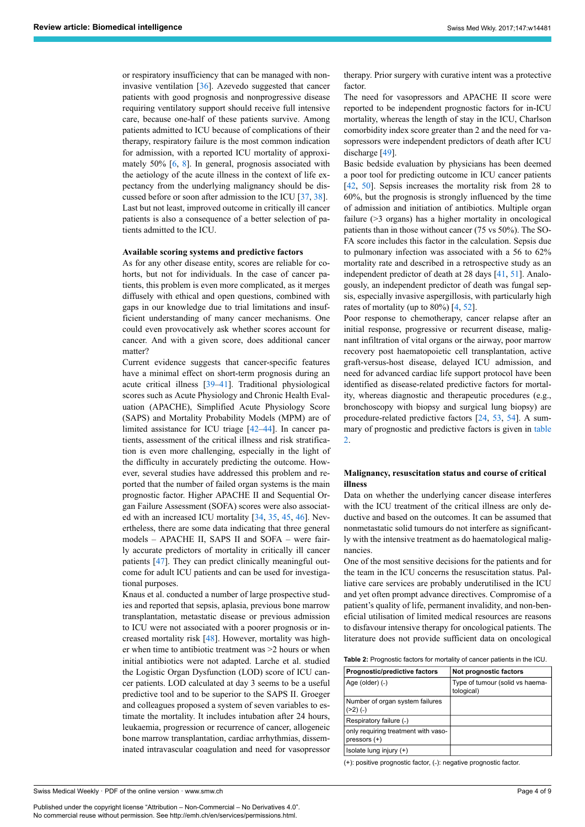or respiratory insufficiency that can be managed with noninvasive ventilation [\[36](#page-7-1)]. Azevedo suggested that cancer patients with good prognosis and nonprogressive disease requiring ventilatory support should receive full intensive care, because one-half of these patients survive. Among patients admitted to ICU because of complications of their therapy, respiratory failure is the most common indication for admission, with a reported ICU mortality of approximately 50% [\[6,](#page-6-3) [8\]](#page-6-4). In general, prognosis associated with the aetiology of the acute illness in the context of life expectancy from the underlying malignancy should be discussed before or soon after admission to the ICU [[37,](#page-7-2) [38](#page-7-3)]. Last but not least, improved outcome in critically ill cancer patients is also a consequence of a better selection of patients admitted to the ICU.

#### **Available scoring systems and predictive factors**

As for any other disease entity, scores are reliable for cohorts, but not for individuals. In the case of cancer patients, this problem is even more complicated, as it merges diffusely with ethical and open questions, combined with gaps in our knowledge due to trial limitations and insufficient understanding of many cancer mechanisms. One could even provocatively ask whether scores account for cancer. And with a given score, does additional cancer matter?

Current evidence suggests that cancer-specific features have a minimal effect on short-term prognosis during an acute critical illness [[39](#page-7-4)[–41](#page-7-5)]. Traditional physiological scores such as Acute Physiology and Chronic Health Evaluation (APACHE), Simplified Acute Physiology Score (SAPS) and Mortality Probability Models (MPM) are of limited assistance for ICU triage [\[42](#page-7-6)–[44\]](#page-7-7). In cancer patients, assessment of the critical illness and risk stratification is even more challenging, especially in the light of the difficulty in accurately predicting the outcome. However, several studies have addressed this problem and reported that the number of failed organ systems is the main prognostic factor. Higher APACHE II and Sequential Organ Failure Assessment (SOFA) scores were also associated with an increased ICU mortality [\[34](#page-6-23), [35](#page-7-0), [45](#page-7-8), [46\]](#page-7-9). Nevertheless, there are some data indicating that three general models – APACHE II, SAPS II and SOFA – were fairly accurate predictors of mortality in critically ill cancer patients [[47\]](#page-7-10). They can predict clinically meaningful outcome for adult ICU patients and can be used for investigational purposes.

Knaus et al. conducted a number of large prospective studies and reported that sepsis, aplasia, previous bone marrow transplantation, metastatic disease or previous admission to ICU were not associated with a poorer prognosis or increased mortality risk [[48\]](#page-7-11). However, mortality was higher when time to antibiotic treatment was >2 hours or when initial antibiotics were not adapted. Larche et al. studied the Logistic Organ Dysfunction (LOD) score of ICU cancer patients. LOD calculated at day 3 seems to be a useful predictive tool and to be superior to the SAPS II. Groeger and colleagues proposed a system of seven variables to estimate the mortality. It includes intubation after 24 hours, leukaemia, progression or recurrence of cancer, allogeneic bone marrow transplantation, cardiac arrhythmias, disseminated intravascular coagulation and need for vasopressor

<span id="page-3-0"></span>Swiss Medical Weekly · PDF of the online version · www.smw.ch

Published under the copyright license "Attribution – Non-Commercial – No Derivatives 4.0". No commercial reuse without permission. See http://emh.ch/en/services/permissions.html.

therapy. Prior surgery with curative intent was a protective factor.

The need for vasopressors and APACHE II score were reported to be independent prognostic factors for in-ICU mortality, whereas the length of stay in the ICU, Charlson comorbidity index score greater than 2 and the need for vasopressors were independent predictors of death after ICU discharge [[49\]](#page-7-12).

Basic bedside evaluation by physicians has been deemed a poor tool for predicting outcome in ICU cancer patients [\[42](#page-7-6), [50](#page-7-13)]. Sepsis increases the mortality risk from 28 to 60%, but the prognosis is strongly influenced by the time of admission and initiation of antibiotics. Multiple organ failure (>3 organs) has a higher mortality in oncological patients than in those without cancer (75 vs 50%). The SO-FA score includes this factor in the calculation. Sepsis due to pulmonary infection was associated with a 56 to 62% mortality rate and described in a retrospective study as an independent predictor of death at 28 days [[41,](#page-7-5) [51\]](#page-7-14). Analogously, an independent predictor of death was fungal sepsis, especially invasive aspergillosis, with particularly high rates of mortality (up to 80%) [[4](#page-6-24), [52\]](#page-7-15).

Poor response to chemotherapy, cancer relapse after an initial response, progressive or recurrent disease, malignant infiltration of vital organs or the airway, poor marrow recovery post haematopoietic cell transplantation, active graft-versus-host disease, delayed ICU admission, and need for advanced cardiac life support protocol have been identified as disease-related predictive factors for mortality, whereas diagnostic and therapeutic procedures (e.g., bronchoscopy with biopsy and surgical lung biopsy) are procedure-related predictive factors [[24,](#page-6-14) [53](#page-7-16), [54\]](#page-7-2). A summary of prognostic and predictive factors is given in [table](#page-3-0) [2.](#page-3-0)

#### **Malignancy, resuscitation status and course of critical illness**

Data on whether the underlying cancer disease interferes with the ICU treatment of the critical illness are only deductive and based on the outcomes. It can be assumed that nonmetastatic solid tumours do not interfere as significantly with the intensive treatment as do haematological malignancies.

One of the most sensitive decisions for the patients and for the team in the ICU concerns the resuscitation status. Palliative care services are probably underutilised in the ICU and yet often prompt advance directives. Compromise of a patient's quality of life, permanent invalidity, and non-beneficial utilisation of limited medical resources are reasons to disfavour intensive therapy for oncological patients. The literature does not provide sufficient data on oncological

| <b>Table 2:</b> Prognostic factors for mortality of cancer patients in the ICU. |  |  |
|---------------------------------------------------------------------------------|--|--|
|---------------------------------------------------------------------------------|--|--|

| Prognostic/predictive factors                         | Not prognostic factors                        |
|-------------------------------------------------------|-----------------------------------------------|
| Age (older) (-)                                       | Type of tumour (solid vs haema-<br>tological) |
| Number of organ system failures<br>$(22) (-)$         |                                               |
| Respiratory failure (-)                               |                                               |
| only requiring treatment with vaso-<br>pressors $(+)$ |                                               |
| Isolate lung injury $(+)$                             |                                               |

(+): positive prognostic factor, (-): negative prognostic factor.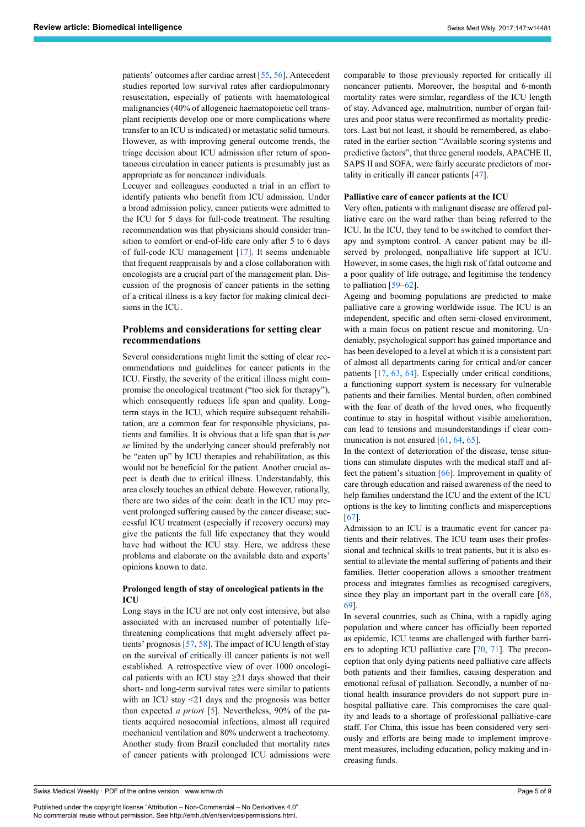patients' outcomes after cardiac arrest [\[55](#page-7-3), [56\]](#page-7-17). Antecedent studies reported low survival rates after cardiopulmonary resuscitation, especially of patients with haematological malignancies (40% of allogeneic haematopoietic cell transplant recipients develop one or more complications where transfer to an ICU is indicated) or metastatic solid tumours. However, as with improving general outcome trends, the triage decision about ICU admission after return of spontaneous circulation in cancer patients is presumably just as appropriate as for noncancer individuals.

Lecuyer and colleagues conducted a trial in an effort to identify patients who benefit from ICU admission. Under a broad admission policy, cancer patients were admitted to the ICU for 5 days for full-code treatment. The resulting recommendation was that physicians should consider transition to comfort or end-of-life care only after 5 to 6 days of full-code ICU management [[17\]](#page-6-9). It seems undeniable that frequent reappraisals by and a close collaboration with oncologists are a crucial part of the management plan. Discussion of the prognosis of cancer patients in the setting of a critical illness is a key factor for making clinical decisions in the ICU.

# **Problems and considerations for setting clear recommendations**

Several considerations might limit the setting of clear recommendations and guidelines for cancer patients in the ICU. Firstly, the severity of the critical illness might compromise the oncological treatment ("too sick for therapy"), which consequently reduces life span and quality. Longterm stays in the ICU, which require subsequent rehabilitation, are a common fear for responsible physicians, patients and families. It is obvious that a life span that is *per se* limited by the underlying cancer should preferably not be "eaten up" by ICU therapies and rehabilitation, as this would not be beneficial for the patient. Another crucial aspect is death due to critical illness. Understandably, this area closely touches an ethical debate. However, rationally, there are two sides of the coin: death in the ICU may prevent prolonged suffering caused by the cancer disease; successful ICU treatment (especially if recovery occurs) may give the patients the full life expectancy that they would have had without the ICU stay. Here, we address these problems and elaborate on the available data and experts' opinions known to date.

## **Prolonged length of stay of oncological patients in the ICU**

Long stays in the ICU are not only cost intensive, but also associated with an increased number of potentially lifethreatening complications that might adversely affect patients' prognosis [\[57](#page-7-18), [58](#page-7-19)]. The impact of ICU length of stay on the survival of critically ill cancer patients is not well established. A retrospective view of over 1000 oncological patients with an ICU stay  $\geq$ 21 days showed that their short- and long-term survival rates were similar to patients with an ICU stay <21 days and the prognosis was better than expected *a priori* [\[5\]](#page-6-2). Nevertheless, 90% of the patients acquired nosocomial infections, almost all required mechanical ventilation and 80% underwent a tracheotomy. Another study from Brazil concluded that mortality rates of cancer patients with prolonged ICU admissions were

Swiss Medical Weekly · PDF of the online version · www.smw.ch

Published under the copyright license "Attribution – Non-Commercial – No Derivatives 4.0". No commercial reuse without permission. See http://emh.ch/en/services/permissions.html.

comparable to those previously reported for critically ill noncancer patients. Moreover, the hospital and 6-month mortality rates were similar, regardless of the ICU length of stay. Advanced age, malnutrition, number of organ failures and poor status were reconfirmed as mortality predictors. Last but not least, it should be remembered, as elaborated in the earlier section "Available scoring systems and predictive factors", that three general models, APACHE II, SAPS II and SOFA, were fairly accurate predictors of mortality in critically ill cancer patients [[47](#page-7-10)].

#### **Palliative care of cancer patients at the ICU**

Very often, patients with malignant disease are offered palliative care on the ward rather than being referred to the ICU. In the ICU, they tend to be switched to comfort therapy and symptom control. A cancer patient may be illserved by prolonged, nonpalliative life support at ICU. However, in some cases, the high risk of fatal outcome and a poor quality of life outrage, and legitimise the tendency to palliation [[59–](#page-7-20)[62](#page-7-21)].

Ageing and booming populations are predicted to make palliative care a growing worldwide issue. The ICU is an independent, specific and often semi-closed environment, with a main focus on patient rescue and monitoring. Undeniably, psychological support has gained importance and has been developed to a level at which it is a consistent part of almost all departments caring for critical and/or cancer patients [\[17](#page-6-9), [63](#page-7-22), [64](#page-7-23)]. Especially under critical conditions, a functioning support system is necessary for vulnerable patients and their families. Mental burden, often combined with the fear of death of the loved ones, who frequently continue to stay in hospital without visible amelioration, can lead to tensions and misunderstandings if clear com-munication is not ensured [[61](#page-7-24), [64,](#page-7-23) [65](#page-7-25)].

In the context of deterioration of the disease, tense situations can stimulate disputes with the medical staff and affect the patient's situation [\[66](#page-7-26)]. Improvement in quality of care through education and raised awareness of the need to help families understand the ICU and the extent of the ICU options is the key to limiting conflicts and misperceptions [\[67](#page-7-13)].

Admission to an ICU is a traumatic event for cancer patients and their relatives. The ICU team uses their professional and technical skills to treat patients, but it is also essential to alleviate the mental suffering of patients and their families. Better cooperation allows a smoother treatment process and integrates families as recognised caregivers, since they play an important part in the overall care [\[68](#page-7-27), [69](#page-7-28)].

In several countries, such as China, with a rapidly aging population and where cancer has officially been reported as epidemic, ICU teams are challenged with further barriers to adopting ICU palliative care [[70,](#page-8-0) [71](#page-8-1)]. The preconception that only dying patients need palliative care affects both patients and their families, causing desperation and emotional refusal of palliation. Secondly, a number of national health insurance providers do not support pure inhospital palliative care. This compromises the care quality and leads to a shortage of professional palliative-care staff. For China, this issue has been considered very seriously and efforts are being made to implement improvement measures, including education, policy making and increasing funds.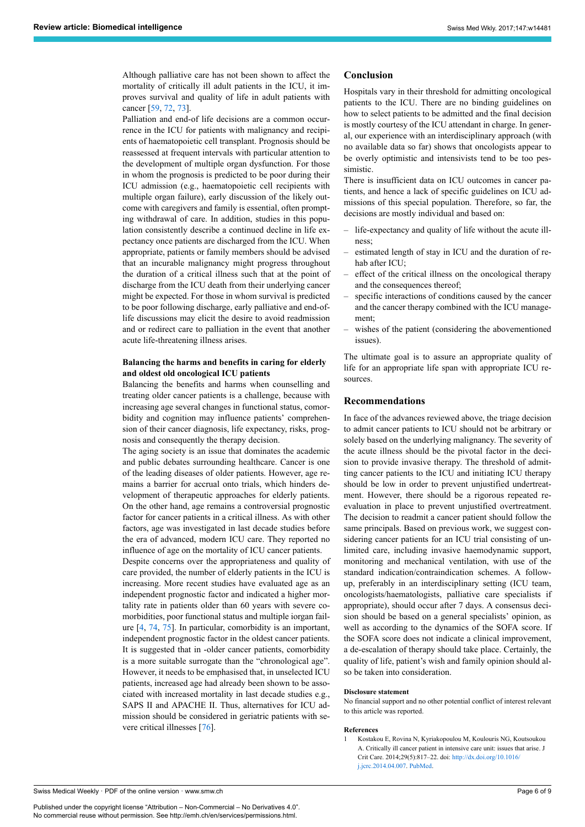Although palliative care has not been shown to affect the mortality of critically ill adult patients in the ICU, it improves survival and quality of life in adult patients with cancer [\[59](#page-7-20), [72,](#page-8-2) [73](#page-8-3)].

Palliation and end-of life decisions are a common occurrence in the ICU for patients with malignancy and recipients of haematopoietic cell transplant. Prognosis should be reassessed at frequent intervals with particular attention to the development of multiple organ dysfunction. For those in whom the prognosis is predicted to be poor during their ICU admission (e.g., haematopoietic cell recipients with multiple organ failure), early discussion of the likely outcome with caregivers and family is essential, often prompting withdrawal of care. In addition, studies in this population consistently describe a continued decline in life expectancy once patients are discharged from the ICU. When appropriate, patients or family members should be advised that an incurable malignancy might progress throughout the duration of a critical illness such that at the point of discharge from the ICU death from their underlying cancer might be expected. For those in whom survival is predicted to be poor following discharge, early palliative and end-oflife discussions may elicit the desire to avoid readmission and or redirect care to palliation in the event that another acute life-threatening illness arises.

# **Balancing the harms and benefits in caring for elderly and oldest old oncological ICU patients**

Balancing the benefits and harms when counselling and treating older cancer patients is a challenge, because with increasing age several changes in functional status, comorbidity and cognition may influence patients' comprehension of their cancer diagnosis, life expectancy, risks, prognosis and consequently the therapy decision.

The aging society is an issue that dominates the academic and public debates surrounding healthcare. Cancer is one of the leading diseases of older patients. However, age remains a barrier for accrual onto trials, which hinders development of therapeutic approaches for elderly patients. On the other hand, age remains a controversial prognostic factor for cancer patients in a critical illness. As with other factors, age was investigated in last decade studies before the era of advanced, modern ICU care. They reported no influence of age on the mortality of ICU cancer patients.

Despite concerns over the appropriateness and quality of care provided, the number of elderly patients in the ICU is increasing. More recent studies have evaluated age as an independent prognostic factor and indicated a higher mortality rate in patients older than 60 years with severe comorbidities, poor functional status and multiple iorgan failure [[4](#page-6-24), [74](#page-8-4), [75](#page-8-5)]. In particular, comorbidity is an important, independent prognostic factor in the oldest cancer patients. It is suggested that in -older cancer patients, comorbidity is a more suitable surrogate than the "chronological age". However, it needs to be emphasised that, in unselected ICU patients, increased age had already been shown to be associated with increased mortality in last decade studies e.g., SAPS II and APACHE II. Thus, alternatives for ICU admission should be considered in geriatric patients with severe critical illnesses [\[76](#page-8-6)].

# **Conclusion**

Hospitals vary in their threshold for admitting oncological patients to the ICU. There are no binding guidelines on how to select patients to be admitted and the final decision is mostly courtesy of the ICU attendant in charge. In general, our experience with an interdisciplinary approach (with no available data so far) shows that oncologists appear to be overly optimistic and intensivists tend to be too pessimistic.

There is insufficient data on ICU outcomes in cancer patients, and hence a lack of specific guidelines on ICU admissions of this special population. Therefore, so far, the decisions are mostly individual and based on:

- life-expectancy and quality of life without the acute illness;
- estimated length of stay in ICU and the duration of rehab after ICU;
- effect of the critical illness on the oncological therapy and the consequences thereof;
- specific interactions of conditions caused by the cancer and the cancer therapy combined with the ICU management;
- wishes of the patient (considering the abovementioned issues).

The ultimate goal is to assure an appropriate quality of life for an appropriate life span with appropriate ICU resources.

# **Recommendations**

In face of the advances reviewed above, the triage decision to admit cancer patients to ICU should not be arbitrary or solely based on the underlying malignancy. The severity of the acute illness should be the pivotal factor in the decision to provide invasive therapy. The threshold of admitting cancer patients to the ICU and initiating ICU therapy should be low in order to prevent unjustified undertreatment. However, there should be a rigorous repeated reevaluation in place to prevent unjustified overtreatment. The decision to readmit a cancer patient should follow the same principals. Based on previous work, we suggest considering cancer patients for an ICU trial consisting of unlimited care, including invasive haemodynamic support, monitoring and mechanical ventilation, with use of the standard indication/contraindication schemes. A followup, preferably in an interdisciplinary setting (ICU team, oncologists/haematologists, palliative care specialists if appropriate), should occur after 7 days. A consensus decision should be based on a general specialists' opinion, as well as according to the dynamics of the SOFA score. If the SOFA score does not indicate a clinical improvement, a de-escalation of therapy should take place. Certainly, the quality of life, patient's wish and family opinion should also be taken into consideration.

#### **Disclosure statement**

No financial support and no other potential conflict of interest relevant to this article was reported.

#### **References**

1 Kostakou E, Rovina N, Kyriakopoulou M, Koulouris NG, Koutsoukou A. Critically ill cancer patient in intensive care unit: issues that arise. J Crit Care. 2014;29(5):817–22. doi: [http://dx.doi.org/10.1016/](http://dx.doi.org/10.1016/j.jcrc.2014.04.007) [j.jcrc.2014.04.007](http://dx.doi.org/10.1016/j.jcrc.2014.04.007). [PubMed.](http://www.ncbi.nlm.nih.gov/entrez/query.fcgi?cmd=Retrieve&db=PubMed&list_uids=24857640&dopt=Abstract)

<span id="page-5-0"></span>Swiss Medical Weekly · PDF of the online version · www.smw.ch

Published under the copyright license "Attribution – Non-Commercial – No Derivatives 4.0". No commercial reuse without permission. See http://emh.ch/en/services/permissions.html.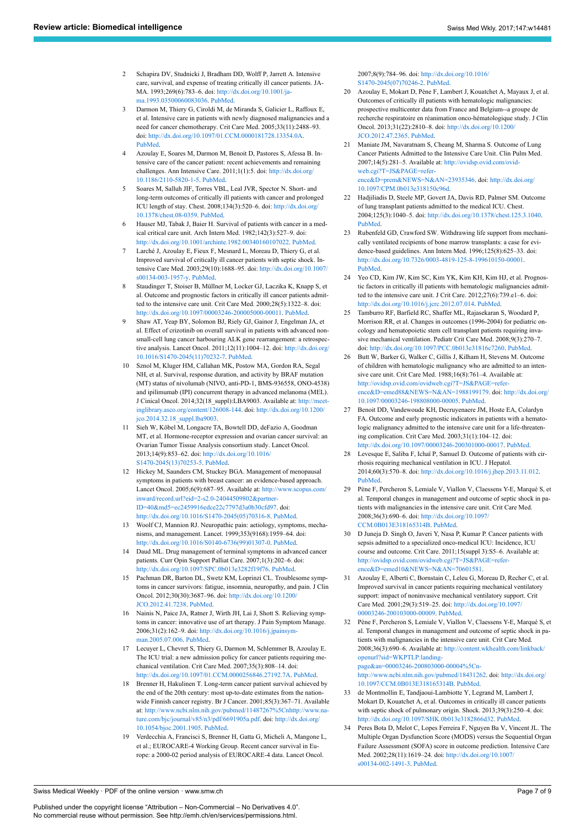- <span id="page-6-11"></span><span id="page-6-0"></span>2 Schapira DV, Studnicki J, Bradham DD, Wolff P, Jarrett A. Intensive care, survival, and expense of treating critically ill cancer patients. JA-MA. 1993;269(6):783–6. doi: [http://dx.doi.org/10.1001/ja](http://dx.doi.org/10.1001/jama.1993.03500060083036)[ma.1993.03500060083036](http://dx.doi.org/10.1001/jama.1993.03500060083036). [PubMed.](http://www.ncbi.nlm.nih.gov/entrez/query.fcgi?cmd=Retrieve&db=PubMed&list_uids=8423662&dopt=Abstract)
- <span id="page-6-1"></span>3 Darmon M, Thiery G, Ciroldi M, de Miranda S, Galicier L, Raffoux E, et al. Intensive care in patients with newly diagnosed malignancies and a need for cancer chemotherapy. Crit Care Med. 2005;33(11):2488–93. doi: [http://dx.doi.org/10.1097/01.CCM.0000181728.13354.0A.](http://dx.doi.org/10.1097/01.CCM.0000181728.13354.0A) [PubMed.](http://www.ncbi.nlm.nih.gov/entrez/query.fcgi?cmd=Retrieve&db=PubMed&list_uids=16276171&dopt=Abstract)
- <span id="page-6-24"></span><span id="page-6-12"></span>4 Azoulay E, Soares M, Darmon M, Benoit D, Pastores S, Afessa B. Intensive care of the cancer patient: recent achievements and remaining challenges. Ann Intensive Care. 2011;1(1):5. doi: [http://dx.doi.org/](http://dx.doi.org/10.1186/2110-5820-1-5) [10.1186/2110-5820-1-5.](http://dx.doi.org/10.1186/2110-5820-1-5) [PubMed.](http://www.ncbi.nlm.nih.gov/entrez/query.fcgi?cmd=Retrieve&db=PubMed&list_uids=21906331&dopt=Abstract)
- <span id="page-6-22"></span><span id="page-6-2"></span>5 Soares M, Salluh JIF, Torres VBL, Leal JVR, Spector N. Short- and long-term outcomes of critically ill patients with cancer and prolonged ICU length of stay. Chest. 2008;134(3):520–6. doi: [http://dx.doi.org/](http://dx.doi.org/10.1378/chest.08-0359) [10.1378/chest.08-0359.](http://dx.doi.org/10.1378/chest.08-0359) [PubMed](http://www.ncbi.nlm.nih.gov/entrez/query.fcgi?cmd=Retrieve&db=PubMed&list_uids=18641110&dopt=Abstract).
- <span id="page-6-13"></span><span id="page-6-3"></span>6 Hauser MJ, Tabak J, Baier H. Survival of patients with cancer in a medical critical care unit. Arch Intern Med. 1982;142(3):527–9. doi: <http://dx.doi.org/10.1001/archinte.1982.00340160107022>. [PubMed](http://www.ncbi.nlm.nih.gov/entrez/query.fcgi?cmd=Retrieve&db=PubMed&list_uids=7065788&dopt=Abstract).
- Larché J, Azoulay E, Fieux F, Mesnard L, Moreau D, Thiery G, et al. Improved survival of critically ill cancer patients with septic shock. Intensive Care Med. 2003;29(10):1688–95. doi: [http://dx.doi.org/10.1007/](http://dx.doi.org/10.1007/s00134-003-1957-y) [s00134-003-1957-y](http://dx.doi.org/10.1007/s00134-003-1957-y). [PubMed](http://www.ncbi.nlm.nih.gov/entrez/query.fcgi?cmd=Retrieve&db=PubMed&list_uids=13680115&dopt=Abstract).
- <span id="page-6-14"></span><span id="page-6-4"></span>8 Staudinger T, Stoiser B, Müllner M, Locker GJ, Laczika K, Knapp S, et al. Outcome and prognostic factors in critically ill cancer patients admitted to the intensive care unit. Crit Care Med. 2000;28(5):1322–8. doi: [http://dx.doi.org/10.1097/00003246-200005000-00011.](http://dx.doi.org/10.1097/00003246-200005000-00011) [PubMed](http://www.ncbi.nlm.nih.gov/entrez/query.fcgi?cmd=Retrieve&db=PubMed&list_uids=10834673&dopt=Abstract).
- <span id="page-6-15"></span><span id="page-6-5"></span>9 Shaw AT, Yeap BY, Solomon BJ, Riely GJ, Gainor J, Engelman JA, et al. Effect of crizotinib on overall survival in patients with advanced nonsmall-cell lung cancer harbouring ALK gene rearrangement: a retrospective analysis. Lancet Oncol. 2011;12(11):1004–12. doi: [http://dx.doi.org/](http://dx.doi.org/10.1016/S1470-2045(11)70232-7) [10.1016/S1470-2045\(11\)70232-7](http://dx.doi.org/10.1016/S1470-2045(11)70232-7). [PubMed](http://www.ncbi.nlm.nih.gov/entrez/query.fcgi?cmd=Retrieve&db=PubMed&list_uids=21933749&dopt=Abstract).
- 10 Sznol M, Kluger HM, Callahan MK, Postow MA, Gordon RA, Segal NH, et al. Survival, response duration, and activity by BRAF mutation (MT) status of nivolumab (NIVO, anti-PD-1, BMS-936558, ONO-4538) and ipilimumab (IPI) concurrent therapy in advanced melanoma (MEL). J Cinical Oncol. 2014;32(18\_suppl):LBA9003. Available at: [http://meet](http://meetinglibrary.asco.org/content/126008-144)[inglibrary.asco.org/content/126008-144.](http://meetinglibrary.asco.org/content/126008-144) doi: [http://dx.doi.org/10.1200/](http://dx.doi.org/10.1200/jco.2014.32.18_suppl.lba9003) [jco.2014.32.18\\_suppl.lba9003.](http://dx.doi.org/10.1200/jco.2014.32.18_suppl.lba9003)
- <span id="page-6-16"></span><span id="page-6-6"></span>11 Sieh W, Köbel M, Longacre TA, Bowtell DD, deFazio A, Goodman MT, et al. Hormone-receptor expression and ovarian cancer survival: an Ovarian Tumor Tissue Analysis consortium study. Lancet Oncol. 2013;14(9):853–62. doi: [http://dx.doi.org/10.1016/](http://dx.doi.org/10.1016/S1470-2045(13)70253-5) [S1470-2045\(13\)70253-5.](http://dx.doi.org/10.1016/S1470-2045(13)70253-5) [PubMed.](http://www.ncbi.nlm.nih.gov/entrez/query.fcgi?cmd=Retrieve&db=PubMed&list_uids=23845225&dopt=Abstract)
- <span id="page-6-17"></span><span id="page-6-7"></span>12 Hickey M, Saunders CM, Stuckey BGA. Management of menopausal symptoms in patients with breast cancer: an evidence-based approach. Lancet Oncol. 2005;6(9):687–95. Available at: [http://www.scopus.com/](http://www.scopus.com/inward/record.url?eid=2-s2.0-24044509802&partnerID=40&md5=ec2459916edce22c7797d3a0b30cfd97) [inward/record.url?eid=2-s2.0-24044509802&partner-](http://www.scopus.com/inward/record.url?eid=2-s2.0-24044509802&partnerID=40&md5=ec2459916edce22c7797d3a0b30cfd97)[ID=40&md5=ec2459916edce22c7797d3a0b30cfd97](http://www.scopus.com/inward/record.url?eid=2-s2.0-24044509802&partnerID=40&md5=ec2459916edce22c7797d3a0b30cfd97). doi: [http://dx.doi.org/10.1016/S1470-2045\(05\)70316-8](http://dx.doi.org/10.1016/S1470-2045(05)70316-8). [PubMed](http://www.ncbi.nlm.nih.gov/entrez/query.fcgi?cmd=Retrieve&db=PubMed&list_uids=16129369&dopt=Abstract).
- <span id="page-6-18"></span>13 Woolf CJ, Mannion RJ. Neuropathic pain: aetiology, symptoms, mechanisms, and management. Lancet. 1999;353(9168):1959–64. doi: [http://dx.doi.org/10.1016/S0140-6736\(99\)01307-0](http://dx.doi.org/10.1016/S0140-6736(99)01307-0). [PubMed](http://www.ncbi.nlm.nih.gov/entrez/query.fcgi?cmd=Retrieve&db=PubMed&list_uids=10371588&dopt=Abstract).
- 14 Daud ML. Drug management of terminal symptoms in advanced cancer patients. Curr Opin Support Palliat Care. 2007;1(3):202–6. doi: <http://dx.doi.org/10.1097/SPC.0b013e3282f19f76>. [PubMed.](http://www.ncbi.nlm.nih.gov/entrez/query.fcgi?cmd=Retrieve&db=PubMed&list_uids=18685364&dopt=Abstract)
- <span id="page-6-19"></span>15 Pachman DR, Barton DL, Swetz KM, Loprinzi CL. Troublesome symptoms in cancer survivors: fatigue, insomnia, neuropathy, and pain. J Clin Oncol. 2012;30(30):3687–96. doi: [http://dx.doi.org/10.1200/](http://dx.doi.org/10.1200/JCO.2012.41.7238) [JCO.2012.41.7238.](http://dx.doi.org/10.1200/JCO.2012.41.7238) [PubMed.](http://www.ncbi.nlm.nih.gov/entrez/query.fcgi?cmd=Retrieve&db=PubMed&list_uids=23008320&dopt=Abstract)
- <span id="page-6-20"></span><span id="page-6-8"></span>16 Nainis N, Paice JA, Ratner J, Wirth JH, Lai J, Shott S. Relieving symptoms in cancer: innovative use of art therapy. J Pain Symptom Manage. 2006;31(2):162–9. doi: [http://dx.doi.org/10.1016/j.jpainsym](http://dx.doi.org/10.1016/j.jpainsymman.2005.07.006)[man.2005.07.006.](http://dx.doi.org/10.1016/j.jpainsymman.2005.07.006) [PubMed](http://www.ncbi.nlm.nih.gov/entrez/query.fcgi?cmd=Retrieve&db=PubMed&list_uids=16488349&dopt=Abstract).
- <span id="page-6-9"></span>17 Lecuyer L, Chevret S, Thiery G, Darmon M, Schlemmer B, Azoulay E. The ICU trial: a new admission policy for cancer patients requiring mechanical ventilation. Crit Care Med. 2007;35(3):808–14. doi: [http://dx.doi.org/10.1097/01.CCM.0000256846.27192.7A.](http://dx.doi.org/10.1097/01.CCM.0000256846.27192.7A) [PubMed.](http://www.ncbi.nlm.nih.gov/entrez/query.fcgi?cmd=Retrieve&db=PubMed&list_uids=17235261&dopt=Abstract)
- 18 Brenner H, Hakulinen T. Long-term cancer patient survival achieved by the end of the 20th century: most up-to-date estimates from the nationwide Finnish cancer registry. Br J Cancer. 2001;85(3):367–71. Available at: [http://www.ncbi.nlm.nih.gov/pubmed/11487267%5Cnhttp://www.na](http://www.ncbi.nlm.nih.gov/pubmed/11487267%5Cnhttp://www.nature.com/bjc/journal/v85/n3/pdf/6691905a.pdf)[ture.com/bjc/journal/v85/n3/pdf/6691905a.pdf](http://www.ncbi.nlm.nih.gov/pubmed/11487267%5Cnhttp://www.nature.com/bjc/journal/v85/n3/pdf/6691905a.pdf). doi: [http://dx.doi.org/](http://dx.doi.org/10.1054/bjoc.2001.1905) [10.1054/bjoc.2001.1905.](http://dx.doi.org/10.1054/bjoc.2001.1905) [PubMed.](http://www.ncbi.nlm.nih.gov/entrez/query.fcgi?cmd=Retrieve&db=PubMed&list_uids=11487267&dopt=Abstract)
- 19 Verdecchia A, Francisci S, Brenner H, Gatta G, Micheli A, Mangone L, et al.; EUROCARE-4 Working Group. Recent cancer survival in Europe: a 2000-02 period analysis of EUROCARE-4 data. Lancet Oncol.

2007;8(9):784–96. doi: [http://dx.doi.org/10.1016/](http://dx.doi.org/10.1016/S1470-2045(07)70246-2) [S1470-2045\(07\)70246-2.](http://dx.doi.org/10.1016/S1470-2045(07)70246-2) [PubMed](http://www.ncbi.nlm.nih.gov/entrez/query.fcgi?cmd=Retrieve&db=PubMed&list_uids=17714993&dopt=Abstract).

- 20 Azoulay E, Mokart D, Pène F, Lambert J, Kouatchet A, Mayaux J, et al. Outcomes of critically ill patients with hematologic malignancies: prospective multicenter data from France and Belgium--a groupe de recherche respiratoire en réanimation onco-hématologique study. J Clin Oncol. 2013;31(22):2810–8. doi: [http://dx.doi.org/10.1200/](http://dx.doi.org/10.1200/JCO.2012.47.2365) [JCO.2012.47.2365](http://dx.doi.org/10.1200/JCO.2012.47.2365). [PubMed](http://www.ncbi.nlm.nih.gov/entrez/query.fcgi?cmd=Retrieve&db=PubMed&list_uids=23752112&dopt=Abstract).
- 21 Maniate JM, Navaratnam S, Cheang M, Sharma S. Outcome of Lung Cancer Patients Admitted to the Intensive Care Unit. Clin Pulm Med. 2007;14(5):281–5. Available at: [http://ovidsp.ovid.com/ovid](http://ovidsp.ovid.com/ovidweb.cgi?T=JS&PAGE=reference&D=prem&NEWS=N&AN=23935346)[web.cgi?T=JS&PAGE=refer](http://ovidsp.ovid.com/ovidweb.cgi?T=JS&PAGE=reference&D=prem&NEWS=N&AN=23935346)[ence&D=prem&NEWS=N&AN=23935346](http://ovidsp.ovid.com/ovidweb.cgi?T=JS&PAGE=reference&D=prem&NEWS=N&AN=23935346). doi: [http://dx.doi.org/](http://dx.doi.org/10.1097/CPM.0b013e318150c96d) [10.1097/CPM.0b013e318150c96d](http://dx.doi.org/10.1097/CPM.0b013e318150c96d).
- 22 Hadjiliadis D, Steele MP, Govert JA, Davis RD, Palmer SM. Outcome of lung transplant patients admitted to the medical ICU. Chest. 2004;125(3):1040–5. doi: [http://dx.doi.org/10.1378/chest.125.3.1040.](http://dx.doi.org/10.1378/chest.125.3.1040) [PubMed](http://www.ncbi.nlm.nih.gov/entrez/query.fcgi?cmd=Retrieve&db=PubMed&list_uids=15006966&dopt=Abstract).
- 23 Rubenfeld GD, Crawford SW. Withdrawing life support from mechanically ventilated recipients of bone marrow transplants: a case for evidence-based guidelines. Ann Intern Med. 1996;125(8):625–33. doi: [http://dx.doi.org/10.7326/0003-4819-125-8-199610150-00001.](http://dx.doi.org/10.7326/0003-4819-125-8-199610150-00001) [PubMed](http://www.ncbi.nlm.nih.gov/entrez/query.fcgi?cmd=Retrieve&db=PubMed&list_uids=8849146&dopt=Abstract).
- 24 Yeo CD, Kim JW, Kim SC, Kim YK, Kim KH, Kim HJ, et al. Prognostic factors in critically ill patients with hematologic malignancies admitted to the intensive care unit. J Crit Care. 2012;27(6):739.e1–6. doi: [http://dx.doi.org/10.1016/j.jcrc.2012.07.014.](http://dx.doi.org/10.1016/j.jcrc.2012.07.014) [PubMed](http://www.ncbi.nlm.nih.gov/entrez/query.fcgi?cmd=Retrieve&db=PubMed&list_uids=23217573&dopt=Abstract).
- 25 Tamburro RF, Barfield RC, Shaffer ML, Rajasekaran S, Woodard P, Morrison RR, et al. Changes in outcomes (1996-2004) for pediatric oncology and hematopoietic stem cell transplant patients requiring invasive mechanical ventilation. Pediatr Crit Care Med. 2008;9(3):270–7. doi: [http://dx.doi.org/10.1097/PCC.0b013e31816c7260.](http://dx.doi.org/10.1097/PCC.0b013e31816c7260) [PubMed.](http://www.ncbi.nlm.nih.gov/entrez/query.fcgi?cmd=Retrieve&db=PubMed&list_uids=18446105&dopt=Abstract)
- 26 Butt W, Barker G, Walker C, Gillis J, Kilham H, Stevens M. Outcome of children with hematologic malignancy who are admitted to an intensive care unit. Crit Care Med. 1988;16(8):761–4. Available at: [http://ovidsp.ovid.com/ovidweb.cgi?T=JS&PAGE=refer](http://ovidsp.ovid.com/ovidweb.cgi?T=JS&PAGE=reference&D=emed88&NEWS=N&AN=1988199179)[ence&D=emed88&NEWS=N&AN=1988199179.](http://ovidsp.ovid.com/ovidweb.cgi?T=JS&PAGE=reference&D=emed88&NEWS=N&AN=1988199179) doi: [http://dx.doi.org/](http://dx.doi.org/10.1097/00003246-198808000-00005) [10.1097/00003246-198808000-00005.](http://dx.doi.org/10.1097/00003246-198808000-00005) [PubMed](http://www.ncbi.nlm.nih.gov/entrez/query.fcgi?cmd=Retrieve&db=PubMed&list_uids=3396370&dopt=Abstract).
- 27 Benoit DD, Vandewoude KH, Decruyenaere JM, Hoste EA, Colardyn FA. Outcome and early prognostic indicators in patients with a hematologic malignancy admitted to the intensive care unit for a life-threatening complication. Crit Care Med. 2003;31(1):104–12. doi: <http://dx.doi.org/10.1097/00003246-200301000-00017>. [PubMed.](http://www.ncbi.nlm.nih.gov/entrez/query.fcgi?cmd=Retrieve&db=PubMed&list_uids=12545002&dopt=Abstract)
- 28 Levesque E, Saliba F, Ichaï P, Samuel D. Outcome of patients with cirrhosis requiring mechanical ventilation in ICU. J Hepatol. 2014;60(3):570–8. doi: <http://dx.doi.org/10.1016/j.jhep.2013.11.012>. [PubMed](http://www.ncbi.nlm.nih.gov/entrez/query.fcgi?cmd=Retrieve&db=PubMed&list_uids=24280294&dopt=Abstract).
- 29 Pène F, Percheron S, Lemiale V, Viallon V, Claessens Y-E, Marqué S, et al. Temporal changes in management and outcome of septic shock in patients with malignancies in the intensive care unit. Crit Care Med. 2008;36(3):690–6. doi: [http://dx.doi.org/10.1097/](http://dx.doi.org/10.1097/CCM.0B013E318165314B) [CCM.0B013E318165314B.](http://dx.doi.org/10.1097/CCM.0B013E318165314B) [PubMed](http://www.ncbi.nlm.nih.gov/entrez/query.fcgi?cmd=Retrieve&db=PubMed&list_uids=18431262&dopt=Abstract).
- 30 D Juneja D. Singh O, Javeri Y, Nasa P, Kumar P. Cancer patients with sepsis admitted to a specialized onco-medical ICU: Incidence, ICU course and outcome. Crit Care. 2011;15(suppl 3):S5–6. Available at: [http://ovidsp.ovid.com/ovidweb.cgi?T=JS&PAGE=refer](http://ovidsp.ovid.com/ovidweb.cgi?T=JS&PAGE=reference&D=emed10&NEWS=N&AN=70601581)ence&D=emed10&NEWS=N&AN=70601581
- 31 Azoulay E, Alberti C, Bornstain C, Leleu G, Moreau D, Recher C, et al. Improved survival in cancer patients requiring mechanical ventilatory support: impact of noninvasive mechanical ventilatory support. Crit Care Med. 2001;29(3):519–25. doi: [http://dx.doi.org/10.1097/](http://dx.doi.org/10.1097/00003246-200103000-00009) [00003246-200103000-00009.](http://dx.doi.org/10.1097/00003246-200103000-00009) [PubMed](http://www.ncbi.nlm.nih.gov/entrez/query.fcgi?cmd=Retrieve&db=PubMed&list_uids=11373414&dopt=Abstract).
- 32 Pène F, Percheron S, Lemiale V, Viallon V, Claessens Y-E, Marqué S, et al. Temporal changes in management and outcome of septic shock in patients with malignancies in the intensive care unit. Crit Care Med. 2008;36(3):690–6. Available at: [http://content.wkhealth.com/linkback/](http://content.wkhealth.com/linkback/openurl?sid=WKPTLP:landingpage&an=00003246-200803000-00004%5Cnhttp://www.ncbi.nlm.nih.gov/pubmed/18431262) [openurl?sid=WKPTLP:landing](http://content.wkhealth.com/linkback/openurl?sid=WKPTLP:landingpage&an=00003246-200803000-00004%5Cnhttp://www.ncbi.nlm.nih.gov/pubmed/18431262)[page&an=00003246-200803000-00004%5Cn](http://content.wkhealth.com/linkback/openurl?sid=WKPTLP:landingpage&an=00003246-200803000-00004%5Cnhttp://www.ncbi.nlm.nih.gov/pubmed/18431262)[http://www.ncbi.nlm.nih.gov/pubmed/18431262.](http://content.wkhealth.com/linkback/openurl?sid=WKPTLP:landingpage&an=00003246-200803000-00004%5Cnhttp://www.ncbi.nlm.nih.gov/pubmed/18431262) doi: [http://dx.doi.org/](http://dx.doi.org/10.1097/CCM.0B013E318165314B) [10.1097/CCM.0B013E318165314B.](http://dx.doi.org/10.1097/CCM.0B013E318165314B) [PubMed](http://www.ncbi.nlm.nih.gov/entrez/query.fcgi?cmd=Retrieve&db=PubMed&list_uids=18431262&dopt=Abstract).
- 33 de Montmollin E, Tandjaoui-Lambiotte Y, Legrand M, Lambert J, Mokart D, Kouatchet A, et al. Outcomes in critically ill cancer patients with septic shock of pulmonary origin. Shock. 2013;39(3):250–4. doi: [http://dx.doi.org/10.1097/SHK.0b013e3182866d32.](http://dx.doi.org/10.1097/SHK.0b013e3182866d32) [PubMed.](http://www.ncbi.nlm.nih.gov/entrez/query.fcgi?cmd=Retrieve&db=PubMed&list_uids=23364436&dopt=Abstract)
- 34 Peres Bota D, Melot C, Lopes Ferreira F, Nguyen Ba V, Vincent JL. The Multiple Organ Dysfunction Score (MODS) versus the Sequential Organ Failure Assessment (SOFA) score in outcome prediction. Intensive Care Med. 2002;28(11):1619–24. doi: [http://dx.doi.org/10.1007/](http://dx.doi.org/10.1007/s00134-002-1491-3) [s00134-002-1491-3](http://dx.doi.org/10.1007/s00134-002-1491-3). [PubMed.](http://www.ncbi.nlm.nih.gov/entrez/query.fcgi?cmd=Retrieve&db=PubMed&list_uids=12415450&dopt=Abstract)

<span id="page-6-23"></span><span id="page-6-21"></span><span id="page-6-10"></span>Swiss Medical Weekly · PDF of the online version · www.smw.ch

Published under the copyright license "Attribution – Non-Commercial – No Derivatives 4.0". No commercial reuse without permission. See http://emh.ch/en/services/permissions.html.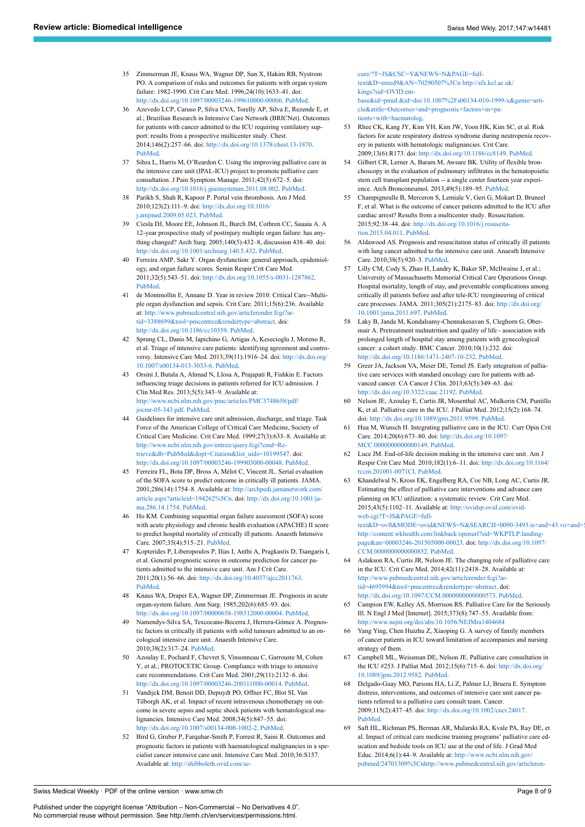- <span id="page-7-0"></span>35 Zimmerman JE, Knaus WA, Wagner DP, Sun X, Hakim RB, Nystrom PO. A comparison of risks and outcomes for patients with organ system failure: 1982-1990. Crit Care Med. 1996;24(10):1633–41. doi: <http://dx.doi.org/10.1097/00003246-199610000-00006>. [PubMed](http://www.ncbi.nlm.nih.gov/entrez/query.fcgi?cmd=Retrieve&db=PubMed&list_uids=8874298&dopt=Abstract).
- <span id="page-7-16"></span><span id="page-7-1"></span>36 Azevedo LCP, Caruso P, Silva UVA, Torelly AP, Silva E, Rezende E, et al.; Brazilian Research in Intensive Care Network (BRICNet). Outcomes for patients with cancer admitted to the ICU requiring ventilatory support: results from a prospective multicenter study. Chest. 2014;146(2):257–66. doi: <http://dx.doi.org/10.1378/chest.13-1870>. [PubMed.](http://www.ncbi.nlm.nih.gov/entrez/query.fcgi?cmd=Retrieve&db=PubMed&list_uids=24480886&dopt=Abstract)
- <span id="page-7-2"></span>37 Sihra L, Harris M, O'Reardon C. Using the improving palliative care in the intensive care unit (IPAL-ICU) project to promote palliative care consultation. J Pain Symptom Manage. 2011;42(5):672–5. doi: <http://dx.doi.org/10.1016/j.jpainsymman.2011.08.002>. [PubMed.](http://www.ncbi.nlm.nih.gov/entrez/query.fcgi?cmd=Retrieve&db=PubMed&list_uids=22045371&dopt=Abstract)
- <span id="page-7-3"></span>38 Parikh S, Shah R, Kapoor P. Portal vein thrombosis. Am J Med. 2010;123(2):111–9. doi: [http://dx.doi.org/10.1016/](http://dx.doi.org/10.1016/j.amjmed.2009.05.023) [j.amjmed.2009.05.023.](http://dx.doi.org/10.1016/j.amjmed.2009.05.023) [PubMed.](http://www.ncbi.nlm.nih.gov/entrez/query.fcgi?cmd=Retrieve&db=PubMed&list_uids=20103016&dopt=Abstract)
- <span id="page-7-17"></span><span id="page-7-4"></span>39 Ciesla DJ, Moore EE, Johnson JL, Burch JM, Cothren CC, Sauaia A. A 12-year prospective study of postinjury multiple organ failure: has anything changed? Arch Surg. 2005;140(5):432–8, discussion 438–40. doi: <http://dx.doi.org/10.1001/archsurg.140.5.432>. [PubMed](http://www.ncbi.nlm.nih.gov/entrez/query.fcgi?cmd=Retrieve&db=PubMed&list_uids=15897438&dopt=Abstract).
- <span id="page-7-18"></span>40 Ferreira AMP, Sakr Y. Organ dysfunction: general approach, epidemiology, and organ failure scores. Semin Respir Crit Care Med. 2011;32(5):543–51. doi: <http://dx.doi.org/10.1055/s-0031-1287862>. [PubMed.](http://www.ncbi.nlm.nih.gov/entrez/query.fcgi?cmd=Retrieve&db=PubMed&list_uids=21989690&dopt=Abstract)
- <span id="page-7-5"></span>de Montmollin E, Annane D. Year in review 2010: Critical Care--Multiple organ dysfunction and sepsis. Crit Care. 2011;15(6):236. Available at: [http://www.pubmedcentral.nih.gov/articlerender.fcgi?ar](http://www.pubmedcentral.nih.gov/articlerender.fcgi?artid=3388699&tool=pmcentrez&rendertype=abstract)[tid=3388699&tool=pmcentrez&rendertype=abstract](http://www.pubmedcentral.nih.gov/articlerender.fcgi?artid=3388699&tool=pmcentrez&rendertype=abstract). doi: [http://dx.doi.org/10.1186/cc10359.](http://dx.doi.org/10.1186/cc10359) [PubMed](http://www.ncbi.nlm.nih.gov/entrez/query.fcgi?cmd=Retrieve&db=PubMed&list_uids=22146601&dopt=Abstract).
- <span id="page-7-19"></span><span id="page-7-6"></span>42 Sprung CL, Danis M, Iapichino G, Artigas A, Kesecioglu J, Moreno R, et al. Triage of intensive care patients: identifying agreement and controversy. Intensive Care Med. 2013;39(11):1916–24. doi: [http://dx.doi.org/](http://dx.doi.org/10.1007/s00134-013-3033-6) [10.1007/s00134-013-3033-6.](http://dx.doi.org/10.1007/s00134-013-3033-6) [PubMed](http://www.ncbi.nlm.nih.gov/entrez/query.fcgi?cmd=Retrieve&db=PubMed&list_uids=23925544&dopt=Abstract).
- <span id="page-7-20"></span>43 Orsini J, Butala A, Ahmad N, Llosa A, Prajapati R, Fishkin E. Factors influencing triage decisions in patients referred for ICU admission. J Clin Med Res. 2013;5(5):343–9. Available at: [http://www.ncbi.nlm.nih.gov/pmc/articles/PMC3748658/pdf/](http://www.ncbi.nlm.nih.gov/pmc/articles/PMC3748658/pdf/jocmr-05-343.pdf) [jocmr-05-343.pdf.](http://www.ncbi.nlm.nih.gov/pmc/articles/PMC3748658/pdf/jocmr-05-343.pdf) [PubMed.](http://www.ncbi.nlm.nih.gov/entrez/query.fcgi?cmd=Retrieve&db=PubMed&list_uids=23976906&dopt=Abstract)
- <span id="page-7-24"></span><span id="page-7-7"></span>44 Guidelines for intensive care unit admission, discharge, and triage. Task Force of the American College of Critical Care Medicine, Society of Critical Care Medicine. Crit Care Med. 1999;27(3):633–8. Available at: [http://www.ncbi.nlm.nih.gov/entrez/query.fcgi?cmd=Re](http://www.ncbi.nlm.nih.gov/entrez/query.fcgi?cmd=Retrieve&db=PubMed&dopt=Citation&list_uids=10199547)[trieve&db=PubMed&dopt=Citation&list\\_uids=10199547.](http://www.ncbi.nlm.nih.gov/entrez/query.fcgi?cmd=Retrieve&db=PubMed&dopt=Citation&list_uids=10199547) doi: <http://dx.doi.org/10.1097/00003246-199903000-00048>. [PubMed](http://www.ncbi.nlm.nih.gov/entrez/query.fcgi?cmd=Retrieve&db=PubMed&list_uids=10199547&dopt=Abstract).
- <span id="page-7-22"></span><span id="page-7-21"></span><span id="page-7-8"></span>45 Ferreira FL, Bota DP, Bross A, Mélot C, Vincent JL. Serial evaluation of the SOFA score to predict outcome in critically ill patients. JAMA. 2001;286(14):1754–8. Available at: [http://archpedi.jamanetwork.com/](http://archpedi.jamanetwork.com/article.aspx?articleid=194262%5Cn) [article.aspx?articleid=194262%5Cn.](http://archpedi.jamanetwork.com/article.aspx?articleid=194262%5Cn) doi: [http://dx.doi.org/10.1001/ja](http://dx.doi.org/10.1001/jama.286.14.1754)[ma.286.14.1754.](http://dx.doi.org/10.1001/jama.286.14.1754) [PubMed.](http://www.ncbi.nlm.nih.gov/entrez/query.fcgi?cmd=Retrieve&db=PubMed&list_uids=11594901&dopt=Abstract)
- <span id="page-7-9"></span>46 Ho KM. Combining sequential organ failure assessment (SOFA) score with acute physiology and chronic health evaluation (APACHE) II score to predict hospital mortality of critically ill patients. Anaesth Intensive Care. 2007;35(4):515–21. [PubMed](http://www.ncbi.nlm.nih.gov/entrez/query.fcgi?cmd=Retrieve&db=PubMed&list_uids=18020069&dopt=Abstract).
- <span id="page-7-23"></span><span id="page-7-10"></span>47 Kopterides P, Liberopoulos P, Ilias I, Anthi A, Pragkastis D, Tsangaris I, et al. General prognostic scores in outcome prediction for cancer patients admitted to the intensive care unit. Am J Crit Care. 2011;20(1):56–66. doi: [http://dx.doi.org/10.4037/ajcc2011763.](http://dx.doi.org/10.4037/ajcc2011763) [PubMed.](http://www.ncbi.nlm.nih.gov/entrez/query.fcgi?cmd=Retrieve&db=PubMed&list_uids=21196571&dopt=Abstract)
- <span id="page-7-25"></span><span id="page-7-11"></span>48 Knaus WA, Draper EA, Wagner DP, Zimmerman JE. Prognosis in acute organ-system failure. Ann Surg. 1985;202(6):685–93. doi: <http://dx.doi.org/10.1097/00000658-198512000-00004>. [PubMed](http://www.ncbi.nlm.nih.gov/entrez/query.fcgi?cmd=Retrieve&db=PubMed&list_uids=4073980&dopt=Abstract).
- <span id="page-7-26"></span><span id="page-7-12"></span>49 Namendys-Silva SA, Texcocano-Becerra J, Herrera-Gómez A. Prognostic factors in critically ill patients with solid tumours admitted to an oncological intensive care unit. Anaesth Intensive Care. 2010;38(2):317–24. [PubMed](http://www.ncbi.nlm.nih.gov/entrez/query.fcgi?cmd=Retrieve&db=PubMed&list_uids=20369766&dopt=Abstract).
- <span id="page-7-13"></span>50 Azoulay E, Pochard F, Chevret S, Vinsonneau C, Garrouste M, Cohen Y, et al.; PROTOCETIC Group. Compliance with triage to intensive care recommendations. Crit Care Med. 2001;29(11):2132–6. doi: [http://dx.doi.org/10.1097/00003246-200111000-00014.](http://dx.doi.org/10.1097/00003246-200111000-00014) [PubMed.](http://www.ncbi.nlm.nih.gov/entrez/query.fcgi?cmd=Retrieve&db=PubMed&list_uids=11700409&dopt=Abstract)
- 51 Vandijck DM, Benoit DD, Depuydt PO, Offner FC, Blot SI, Van Tilborgh AK, et al. Impact of recent intravenous chemotherapy on outcome in severe sepsis and septic shock patients with hematological malignancies. Intensive Care Med. 2008;34(5):847–55. doi: [http://dx.doi.org/10.1007/s00134-008-1002-2.](http://dx.doi.org/10.1007/s00134-008-1002-2) [PubMed.](http://www.ncbi.nlm.nih.gov/entrez/query.fcgi?cmd=Retrieve&db=PubMed&list_uids=18214437&dopt=Abstract)
- 52 Bird G, Gruber P, Farquhar-Smith P, Forrest R, Saini R. Outcomes and prognostic factors in patients with haematological malignancies in a specialist cancer intensive care unit. Intensive Care Med. 2010;36:S157. Available at: [http://shibboleth.ovid.com/se-](http://shibboleth.ovid.com/secure/?T=JS&CSC=Y&NEWS=N&PAGE=fulltext&D=emed9&AN=70290507%5Cn)

[cure/?T=JS&CSC=Y&NEWS=N&PAGE=full](http://shibboleth.ovid.com/secure/?T=JS&CSC=Y&NEWS=N&PAGE=fulltext&D=emed9&AN=70290507%5Cn)[text&D=emed9&AN=70290507%5Cn](http://shibboleth.ovid.com/secure/?T=JS&CSC=Y&NEWS=N&PAGE=fulltext&D=emed9&AN=70290507%5Cn) [http://sfx.kcl.ac.uk/](http://sfx.kcl.ac.uk/kings?sid=OVID:embase&id=pmid:&id=doi:10.1007%2Fs00134-010-1999-x&genre=article&atitle=Outcomes+and+prognostic+factors+in+patients+with+haematolog) [kings?sid=OVID:em](http://sfx.kcl.ac.uk/kings?sid=OVID:embase&id=pmid:&id=doi:10.1007%2Fs00134-010-1999-x&genre=article&atitle=Outcomes+and+prognostic+factors+in+patients+with+haematolog)[base&id=pmid:&id=doi:10.1007%2Fs00134-010-1999-x&genre=arti](http://sfx.kcl.ac.uk/kings?sid=OVID:embase&id=pmid:&id=doi:10.1007%2Fs00134-010-1999-x&genre=article&atitle=Outcomes+and+prognostic+factors+in+patients+with+haematolog)[cle&atitle=Outcomes+and+prognostic+factors+in+pa-](http://sfx.kcl.ac.uk/kings?sid=OVID:embase&id=pmid:&id=doi:10.1007%2Fs00134-010-1999-x&genre=article&atitle=Outcomes+and+prognostic+factors+in+patients+with+haematolog)

- [tients+with+haematolog.](http://sfx.kcl.ac.uk/kings?sid=OVID:embase&id=pmid:&id=doi:10.1007%2Fs00134-010-1999-x&genre=article&atitle=Outcomes+and+prognostic+factors+in+patients+with+haematolog) 53 Rhee CK, Kang JY, Kim YH, Kim JW, Yoon HK, Kim SC, et al. Risk factors for acute respiratory distress syndrome during neutropenia recovery in patients with hematologic malignancies. Crit Care. 2009;13(6):R173. doi: [http://dx.doi.org/10.1186/cc8149.](http://dx.doi.org/10.1186/cc8149) [PubMed](http://www.ncbi.nlm.nih.gov/entrez/query.fcgi?cmd=Retrieve&db=PubMed&list_uids=19886984&dopt=Abstract).
- Gilbert CR, Lerner A, Baram M, Awsare BK. Utility of flexible bronchoscopy in the evaluation of pulmonary infiltrates in the hematopoietic stem cell transplant population -- a single center fourteen year experience. Arch Bronconeumol. 2013;49(5):189–95. [PubMed](http://www.ncbi.nlm.nih.gov/entrez/query.fcgi?cmd=Retrieve&db=PubMed&list_uids=23455477&dopt=Abstract).
- 55 Champigneulle B, Merceron S, Lemiale V, Geri G, Mokart D, Bruneel F, et al. What is the outcome of cancer patients admitted to the ICU after cardiac arrest? Results from a multicenter study. Resuscitation. 2015;92:38–44. doi: [http://dx.doi.org/10.1016/j.resuscita](http://dx.doi.org/10.1016/j.resuscitation.2015.04.011)[tion.2015.04.011.](http://dx.doi.org/10.1016/j.resuscitation.2015.04.011) [PubMed](http://www.ncbi.nlm.nih.gov/entrez/query.fcgi?cmd=Retrieve&db=PubMed&list_uids=25917260&dopt=Abstract).
- 56 Aldawood AS. Prognosis and resuscitation status of critically ill patients with lung cancer admitted to the intensive care unit. Anaesth Intensive Care. 2010;38(5):920–3. [PubMed](http://www.ncbi.nlm.nih.gov/entrez/query.fcgi?cmd=Retrieve&db=PubMed&list_uids=20865879&dopt=Abstract).
- 57 Lilly CM, Cody S, Zhao H, Landry K, Baker SP, McIlwaine J, et al.; University of Massachusetts Memorial Critical Care Operations Group. Hospital mortality, length of stay, and preventable complications among critically ill patients before and after tele-ICU reengineering of critical care processes. JAMA. 2011;305(21):2175–83. doi: [http://dx.doi.org/](http://dx.doi.org/10.1001/jama.2011.697) [10.1001/jama.2011.697.](http://dx.doi.org/10.1001/jama.2011.697) [PubMed](http://www.ncbi.nlm.nih.gov/entrez/query.fcgi?cmd=Retrieve&db=PubMed&list_uids=21576622&dopt=Abstract).
- 58 Laky B, Janda M, Kondalsamy-Chennakesavan S, Cleghorn G, Obermair A. Pretreatment malnutrition and quality of life - association with prolonged length of hospital stay among patients with gynecological cancer: a cohort study. BMC Cancer. 2010;10(1):232. doi: <http://dx.doi.org/10.1186/1471-2407-10-232>. [PubMed](http://www.ncbi.nlm.nih.gov/entrez/query.fcgi?cmd=Retrieve&db=PubMed&list_uids=20497581&dopt=Abstract).
- 59 Greer JA, Jackson VA, Meier DE, Temel JS. Early integration of palliative care services with standard oncology care for patients with advanced cancer. CA Cancer J Clin. 2013;63(5):349–63. doi: [http://dx.doi.org/10.3322/caac.21192.](http://dx.doi.org/10.3322/caac.21192) [PubMed](http://www.ncbi.nlm.nih.gov/entrez/query.fcgi?cmd=Retrieve&db=PubMed&list_uids=23856954&dopt=Abstract).
- 60 Nelson JE, Azoulay E, Curtis JR, Mosenthal AC, Mulkerin CM, Puntillo K, et al. Palliative care in the ICU. J Palliat Med. 2012;15(2):168–74. doi: [http://dx.doi.org/10.1089/jpm.2011.9599.](http://dx.doi.org/10.1089/jpm.2011.9599) [PubMed.](http://www.ncbi.nlm.nih.gov/entrez/query.fcgi?cmd=Retrieve&db=PubMed&list_uids=22280492&dopt=Abstract)
- 61 Hua M, Wunsch H. Integrating palliative care in the ICU. Curr Opin Crit Care. 2014;20(6):673–80. doi: [http://dx.doi.org/10.1097/](http://dx.doi.org/10.1097/MCC.0000000000000149) [MCC.0000000000000149.](http://dx.doi.org/10.1097/MCC.0000000000000149) [PubMed](http://www.ncbi.nlm.nih.gov/entrez/query.fcgi?cmd=Retrieve&db=PubMed&list_uids=25233330&dopt=Abstract).
- 62 Luce JM. End-of-life decision making in the intensive care unit. Am J Respir Crit Care Med. 2010;182(1):6–11. doi: [http://dx.doi.org/10.1164/](http://dx.doi.org/10.1164/rccm.201001-0071CI) [rccm.201001-0071CI](http://dx.doi.org/10.1164/rccm.201001-0071CI). [PubMed](http://www.ncbi.nlm.nih.gov/entrez/query.fcgi?cmd=Retrieve&db=PubMed&list_uids=20194809&dopt=Abstract).
- 63 Khandelwal N, Kross EK, Engelberg RA, Coe NB, Long AC, Curtis JR. Estimating the effect of palliative care interventions and advance care planning on ICU utilization: a systematic review. Crit Care Med. 2015;43(5):1102–11. Available at: [http://ovidsp.ovid.com/ovid](http://ovidsp.ovid.com/ovidweb.cgi?T=JS&PAGE=fulltext&D=ovft&MODE=ovid&NEWS=N&SEARCH=0090-3493.is+and+43.vo+and+5.ip+and+1102.pg&NEWS=n%5Cn)[web.cgi?T=JS&PAGE=full-](http://ovidsp.ovid.com/ovidweb.cgi?T=JS&PAGE=fulltext&D=ovft&MODE=ovid&NEWS=N&SEARCH=0090-3493.is+and+43.vo+and+5.ip+and+1102.pg&NEWS=n%5Cn)

text&D=ovft&MODE=ovid&NEWS=N&SEARCH=0090-3493.is+and+43.vo+and+ [http://content.wkhealth.com/linkback/openurl?sid=WKPTLP:landing](http://content.wkhealth.com/linkback/openurl?sid=WKPTLP:landingpage&an=00003246-201505000-00023)[page&an=00003246-201505000-00023](http://content.wkhealth.com/linkback/openurl?sid=WKPTLP:landingpage&an=00003246-201505000-00023). doi: [http://dx.doi.org/10.1097/](http://dx.doi.org/10.1097/CCM.0000000000000852) [CCM.0000000000000852.](http://dx.doi.org/10.1097/CCM.0000000000000852) [PubMed](http://www.ncbi.nlm.nih.gov/entrez/query.fcgi?cmd=Retrieve&db=PubMed&list_uids=25574794&dopt=Abstract).

- 64 Aslakson RA, Curtis JR, Nelson JE. The changing role of palliative care in the ICU. Crit Care Med. 2014;42(11):2418–28. Available at: [http://www.pubmedcentral.nih.gov/articlerender.fcgi?ar](http://www.pubmedcentral.nih.gov/articlerender.fcgi?artid=4695994&tool=pmcentrez&rendertype=abstract)[tid=4695994&tool=pmcentrez&rendertype=abstract](http://www.pubmedcentral.nih.gov/articlerender.fcgi?artid=4695994&tool=pmcentrez&rendertype=abstract). doi: <http://dx.doi.org/10.1097/CCM.0000000000000573>. [PubMed.](http://www.ncbi.nlm.nih.gov/entrez/query.fcgi?cmd=Retrieve&db=PubMed&list_uids=25167087&dopt=Abstract)
- 65 Campion EW, Kelley AS, Morrison RS. Palliative Care for the Seriously Ill. N Engl J Med [Internet]. 2015;373(8):747–55. Available from: <http://www.nejm.org/doi/abs/10.1056/NEJMra1404684>
- 66 Yang Ying, Chen Huizhu Z, Xiaoping G. A survey of family members of cancer patients in ICU toward limitation of accompanies and nursing strategy of them.
- 67 Campbell ML, Weissman DE, Nelson JE. Palliative care consultation in the ICU #253. J Palliat Med. 2012;15(6):715–6. doi: [http://dx.doi.org/](http://dx.doi.org/10.1089/jpm.2012.9582) [10.1089/jpm.2012.9582.](http://dx.doi.org/10.1089/jpm.2012.9582) [PubMed](http://www.ncbi.nlm.nih.gov/entrez/query.fcgi?cmd=Retrieve&db=PubMed&list_uids=22656058&dopt=Abstract).
- 68 Delgado-Guay MO, Parsons HA, Li Z, Palmer LJ, Bruera E. Symptom distress, interventions, and outcomes of intensive care unit cancer patients referred to a palliative care consult team. Cancer. 2009;115(2):437–45. doi: <http://dx.doi.org/10.1002/cncr.24017>. [PubMed](http://www.ncbi.nlm.nih.gov/entrez/query.fcgi?cmd=Retrieve&db=PubMed&list_uids=19107768&dopt=Abstract).
- 69 Saft HL, Richman PS, Berman AR, Mularski RA, Kvale PA, Ray DE, et al. Impact of critical care medicine training programs' palliative care education and bedside tools on ICU use at the end of life. J Grad Med Educ. 2014;6(1):44–9. Available at: [http://www.ncbi.nlm.nih.gov/](http://www.ncbi.nlm.nih.gov/pubmed/24701309%5Cnhttp://www.pubmedcentral.nih.gov/articlerender.fcgi?artid=PMC3963793) [pubmed/24701309%5Cnhttp://www.pubmedcentral.nih.gov/articleren-](http://www.ncbi.nlm.nih.gov/pubmed/24701309%5Cnhttp://www.pubmedcentral.nih.gov/articlerender.fcgi?artid=PMC3963793)

<span id="page-7-28"></span><span id="page-7-27"></span><span id="page-7-15"></span><span id="page-7-14"></span>Swiss Medical Weekly · PDF of the online version · www.smw.ch